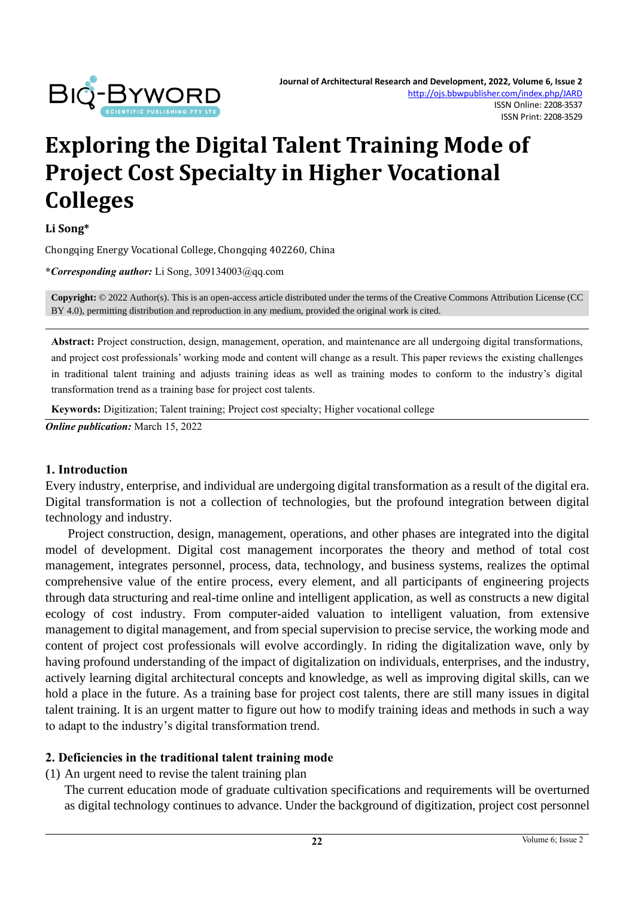

# **Exploring the Digital Talent Training Mode of Project Cost Specialty in Higher Vocational Colleges**

#### **Li Song\***

Chongqing Energy Vocational College, Chongqing 402260, China

**\****Corresponding author:* Li Song, 309134003@qq.com

**Copyright:** © 2022 Author(s). This is an open-access article distributed under the terms of th[e Creative Commons Attribution License \(CC](https://creativecommons.org/licenses/by/4.0/)  [BY 4.0\),](https://creativecommons.org/licenses/by/4.0/) permitting distribution and reproduction in any medium, provided the original work is cited.

**Abstract:** Project construction, design, management, operation, and maintenance are all undergoing digital transformations, and project cost professionals' working mode and content will change as a result. This paper reviews the existing challenges in traditional talent training and adjusts training ideas as well as training modes to conform to the industry's digital transformation trend as a training base for project cost talents.

**Keywords:** Digitization; Talent training; Project cost specialty; Higher vocational college

*Online publication:* March 15, 2022

#### **1. Introduction**

Every industry, enterprise, and individual are undergoing digital transformation as a result of the digital era. Digital transformation is not a collection of technologies, but the profound integration between digital technology and industry.

Project construction, design, management, operations, and other phases are integrated into the digital model of development. Digital cost management incorporates the theory and method of total cost management, integrates personnel, process, data, technology, and business systems, realizes the optimal comprehensive value of the entire process, every element, and all participants of engineering projects through data structuring and real-time online and intelligent application, as well as constructs a new digital ecology of cost industry. From computer-aided valuation to intelligent valuation, from extensive management to digital management, and from special supervision to precise service, the working mode and content of project cost professionals will evolve accordingly. In riding the digitalization wave, only by having profound understanding of the impact of digitalization on individuals, enterprises, and the industry, actively learning digital architectural concepts and knowledge, as well as improving digital skills, can we hold a place in the future. As a training base for project cost talents, there are still many issues in digital talent training. It is an urgent matter to figure out how to modify training ideas and methods in such a way to adapt to the industry's digital transformation trend.

#### **2. Deficiencies in the traditional talent training mode**

(1) An urgent need to revise the talent training plan

The current education mode of graduate cultivation specifications and requirements will be overturned as digital technology continues to advance. Under the background of digitization, project cost personnel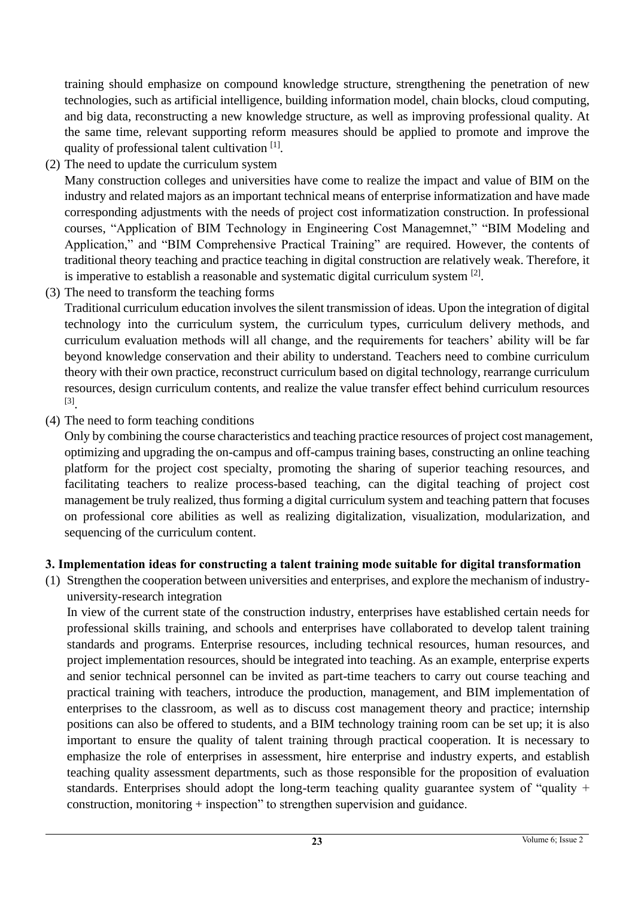training should emphasize on compound knowledge structure, strengthening the penetration of new technologies, such as artificial intelligence, building information model, chain blocks, cloud computing, and big data, reconstructing a new knowledge structure, as well as improving professional quality. At the same time, relevant supporting reform measures should be applied to promote and improve the quality of professional talent cultivation [1].

(2) The need to update the curriculum system

Many construction colleges and universities have come to realize the impact and value of BIM on the industry and related majors as an important technical means of enterprise informatization and have made corresponding adjustments with the needs of project cost informatization construction. In professional courses, "Application of BIM Technology in Engineering Cost Managemnet," "BIM Modeling and Application," and "BIM Comprehensive Practical Training" are required. However, the contents of traditional theory teaching and practice teaching in digital construction are relatively weak. Therefore, it is imperative to establish a reasonable and systematic digital curriculum system  $[2]$ .

(3) The need to transform the teaching forms

Traditional curriculum education involves the silent transmission of ideas. Upon the integration of digital technology into the curriculum system, the curriculum types, curriculum delivery methods, and curriculum evaluation methods will all change, and the requirements for teachers' ability will be far beyond knowledge conservation and their ability to understand. Teachers need to combine curriculum theory with their own practice, reconstruct curriculum based on digital technology, rearrange curriculum resources, design curriculum contents, and realize the value transfer effect behind curriculum resources [3] .

(4) The need to form teaching conditions

Only by combining the course characteristics and teaching practice resources of project cost management, optimizing and upgrading the on-campus and off-campus training bases, constructing an online teaching platform for the project cost specialty, promoting the sharing of superior teaching resources, and facilitating teachers to realize process-based teaching, can the digital teaching of project cost management be truly realized, thus forming a digital curriculum system and teaching pattern that focuses on professional core abilities as well as realizing digitalization, visualization, modularization, and sequencing of the curriculum content.

## **3. Implementation ideas for constructing a talent training mode suitable for digital transformation**

(1) Strengthen the cooperation between universities and enterprises, and explore the mechanism of industryuniversity-research integration

In view of the current state of the construction industry, enterprises have established certain needs for professional skills training, and schools and enterprises have collaborated to develop talent training standards and programs. Enterprise resources, including technical resources, human resources, and project implementation resources, should be integrated into teaching. As an example, enterprise experts and senior technical personnel can be invited as part-time teachers to carry out course teaching and practical training with teachers, introduce the production, management, and BIM implementation of enterprises to the classroom, as well as to discuss cost management theory and practice; internship positions can also be offered to students, and a BIM technology training room can be set up; it is also important to ensure the quality of talent training through practical cooperation. It is necessary to emphasize the role of enterprises in assessment, hire enterprise and industry experts, and establish teaching quality assessment departments, such as those responsible for the proposition of evaluation standards. Enterprises should adopt the long-term teaching quality guarantee system of "quality + construction, monitoring + inspection" to strengthen supervision and guidance.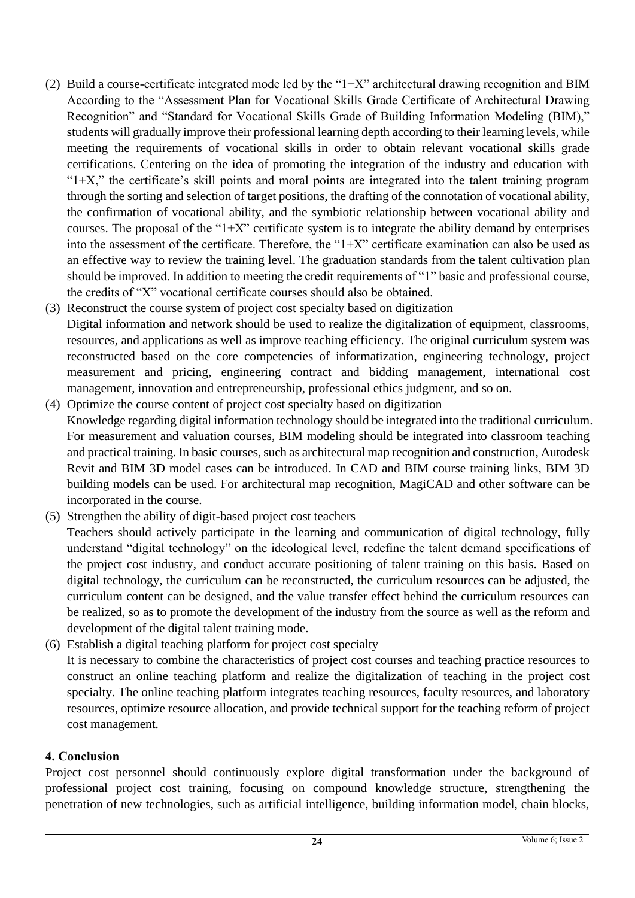- (2) Build a course-certificate integrated mode led by the " $1+X$ " architectural drawing recognition and BIM According to the "Assessment Plan for Vocational Skills Grade Certificate of Architectural Drawing Recognition" and "Standard for Vocational Skills Grade of Building Information Modeling (BIM)," students will gradually improve their professional learning depth according to their learning levels, while meeting the requirements of vocational skills in order to obtain relevant vocational skills grade certifications. Centering on the idea of promoting the integration of the industry and education with " $1+X$ ," the certificate's skill points and moral points are integrated into the talent training program through the sorting and selection of target positions, the drafting of the connotation of vocational ability, the confirmation of vocational ability, and the symbiotic relationship between vocational ability and courses. The proposal of the " $1+X$ " certificate system is to integrate the ability demand by enterprises into the assessment of the certificate. Therefore, the " $1+X$ " certificate examination can also be used as an effective way to review the training level. The graduation standards from the talent cultivation plan should be improved. In addition to meeting the credit requirements of "1" basic and professional course, the credits of "X" vocational certificate courses should also be obtained.
- (3) Reconstruct the course system of project cost specialty based on digitization Digital information and network should be used to realize the digitalization of equipment, classrooms, resources, and applications as well as improve teaching efficiency. The original curriculum system was reconstructed based on the core competencies of informatization, engineering technology, project measurement and pricing, engineering contract and bidding management, international cost management, innovation and entrepreneurship, professional ethics judgment, and so on.
- (4) Optimize the course content of project cost specialty based on digitization Knowledge regarding digital information technology should be integrated into the traditional curriculum. For measurement and valuation courses, BIM modeling should be integrated into classroom teaching and practical training. In basic courses, such as architectural map recognition and construction, Autodesk Revit and BIM 3D model cases can be introduced. In CAD and BIM course training links, BIM 3D building models can be used. For architectural map recognition, MagiCAD and other software can be incorporated in the course.
- (5) Strengthen the ability of digit-based project cost teachers

Teachers should actively participate in the learning and communication of digital technology, fully understand "digital technology" on the ideological level, redefine the talent demand specifications of the project cost industry, and conduct accurate positioning of talent training on this basis. Based on digital technology, the curriculum can be reconstructed, the curriculum resources can be adjusted, the curriculum content can be designed, and the value transfer effect behind the curriculum resources can be realized, so as to promote the development of the industry from the source as well as the reform and development of the digital talent training mode.

(6) Establish a digital teaching platform for project cost specialty It is necessary to combine the characteristics of project cost courses and teaching practice resources to construct an online teaching platform and realize the digitalization of teaching in the project cost specialty. The online teaching platform integrates teaching resources, faculty resources, and laboratory resources, optimize resource allocation, and provide technical support for the teaching reform of project cost management.

### **4. Conclusion**

Project cost personnel should continuously explore digital transformation under the background of professional project cost training, focusing on compound knowledge structure, strengthening the penetration of new technologies, such as artificial intelligence, building information model, chain blocks,